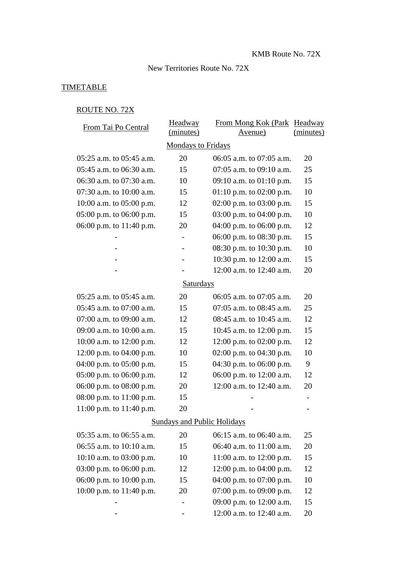#### New Territories Route No. 72X

### **TIMETABLE**

#### ROUTE NO. 72X

| From Tai Po Central                | Headway                   | From Mong Kok (Park Headway  |           |  |  |
|------------------------------------|---------------------------|------------------------------|-----------|--|--|
|                                    | (minutes)                 | <u>Avenue)</u>               | (minutes) |  |  |
|                                    | <b>Mondays to Fridays</b> |                              |           |  |  |
| $05:25$ a.m. to $05:45$ a.m.       | 20                        | 06:05 a.m. to 07:05 a.m.     | 20        |  |  |
| 05:45 a.m. to 06:30 a.m.           | 15                        | $07:05$ a.m. to $09:10$ a.m. | 25        |  |  |
| 06:30 a.m. to 07:30 a.m.           | 10                        | 09:10 a.m. to $01:10$ p.m.   | 15        |  |  |
| 07:30 a.m. to 10:00 a.m.           | 15                        | 01:10 p.m. to 02:00 p.m.     | 10        |  |  |
| 10:00 a.m. to $05:00$ p.m.         | 12                        | 02:00 p.m. to 03:00 p.m.     | 15        |  |  |
| $05:00$ p.m. to $06:00$ p.m.       | 15                        | 03:00 p.m. to 04:00 p.m.     | 10        |  |  |
| 06:00 p.m. to 11:40 p.m.           | 20                        | 04:00 p.m. to 06:00 p.m.     | 12        |  |  |
|                                    |                           | 06:00 p.m. to 08:30 p.m.     | 15        |  |  |
|                                    | $\qquad \qquad -$         | 08:30 p.m. to 10:30 p.m.     | 10        |  |  |
|                                    |                           | 10:30 p.m. to 12:00 a.m.     | 15        |  |  |
|                                    |                           | 12:00 a.m. to 12:40 a.m.     | 20        |  |  |
| <b>Saturdays</b>                   |                           |                              |           |  |  |
| 05:25 a.m. to 05:45 a.m.           | 20                        | 06:05 a.m. to 07:05 a.m.     | 20        |  |  |
| 05:45 a.m. to 07:00 a.m.           | 15                        | 07:05 a.m. to 08:45 a.m.     | 25        |  |  |
| 07:00 a.m. to 09:00 a.m.           | 12                        | 08:45 a.m. to 10:45 a.m.     | 12        |  |  |
| 09:00 a.m. to 10:00 a.m.           | 15                        | 10:45 a.m. to 12:00 p.m.     | 15        |  |  |
| 10:00 a.m. to 12:00 p.m.           | 12                        | 12:00 p.m. to 02:00 p.m.     | 12        |  |  |
| 12:00 p.m. to $04:00$ p.m.         | 10                        | 02:00 p.m. to $04:30$ p.m.   | 10        |  |  |
| 04:00 p.m. to 05:00 p.m.           | 15                        | 04:30 p.m. to 06:00 p.m.     | 9         |  |  |
| 05:00 p.m. to 06:00 p.m.           | 12                        | 06:00 p.m. to 12:00 a.m.     | 12        |  |  |
| 06:00 p.m. to 08:00 p.m.           | 20                        | 12:00 a.m. to 12:40 a.m.     | 20        |  |  |
| 08:00 p.m. to 11:00 p.m.           | 15                        |                              |           |  |  |
| 11:00 p.m. to 11:40 p.m.           | 20                        |                              |           |  |  |
| <b>Sundays and Public Holidays</b> |                           |                              |           |  |  |
| 05:35 a.m. to 06:55 a.m.           | 20                        | 06:15 a.m. to 06:40 a.m.     | 25        |  |  |
| 06:55 a.m. to 10:10 a.m.           | 15                        | 06:40 a.m. to 11:00 a.m.     | 20        |  |  |
| $10:10$ a.m. to $03:00$ p.m.       | 10                        | 11:00 a.m. to 12:00 p.m.     | 15        |  |  |
| 03:00 p.m. to 06:00 p.m.           | 12                        | 12:00 p.m. to 04:00 p.m.     | 12        |  |  |
| 06:00 p.m. to 10:00 p.m.           | 15                        | 04:00 p.m. to 07:00 p.m.     | 10        |  |  |
| 10:00 p.m. to 11:40 p.m.           | 20                        | 07:00 p.m. to 09:00 p.m.     | 12        |  |  |
|                                    |                           | 09:00 p.m. to 12:00 a.m.     | 15        |  |  |
|                                    |                           | 12:00 a.m. to 12:40 a.m.     | 20        |  |  |
|                                    |                           |                              |           |  |  |